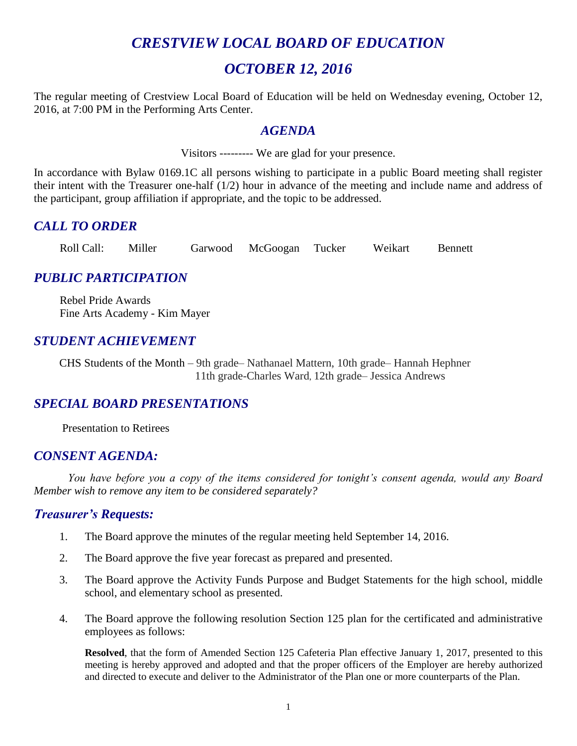# *CRESTVIEW LOCAL BOARD OF EDUCATION*

# *OCTOBER 12, 2016*

The regular meeting of Crestview Local Board of Education will be held on Wednesday evening, October 12, 2016, at 7:00 PM in the Performing Arts Center.

### *AGENDA*

Visitors --------- We are glad for your presence.

In accordance with Bylaw 0169.1C all persons wishing to participate in a public Board meeting shall register their intent with the Treasurer one-half (1/2) hour in advance of the meeting and include name and address of the participant, group affiliation if appropriate, and the topic to be addressed.

## *CALL TO ORDER*

Roll Call: Miller Garwood McGoogan Tucker Weikart Bennett

# *PUBLIC PARTICIPATION*

Rebel Pride Awards Fine Arts Academy - Kim Mayer

## *STUDENT ACHIEVEMENT*

 CHS Students of the Month – 9th grade– Nathanael Mattern, 10th grade– Hannah Hephner 11th grade-Charles Ward, 12th grade– Jessica Andrews

## *SPECIAL BOARD PRESENTATIONS*

Presentation to Retirees

#### *CONSENT AGENDA:*

*You have before you a copy of the items considered for tonight's consent agenda, would any Board Member wish to remove any item to be considered separately?*

### *Treasurer's Requests:*

- 1. The Board approve the minutes of the regular meeting held September 14, 2016.
- 2. The Board approve the five year forecast as prepared and presented.
- 3. The Board approve the Activity Funds Purpose and Budget Statements for the high school, middle school, and elementary school as presented.
- 4. The Board approve the following resolution Section 125 plan for the certificated and administrative employees as follows:

**Resolved**, that the form of Amended Section 125 Cafeteria Plan effective January 1, 2017, presented to this meeting is hereby approved and adopted and that the proper officers of the Employer are hereby authorized and directed to execute and deliver to the Administrator of the Plan one or more counterparts of the Plan.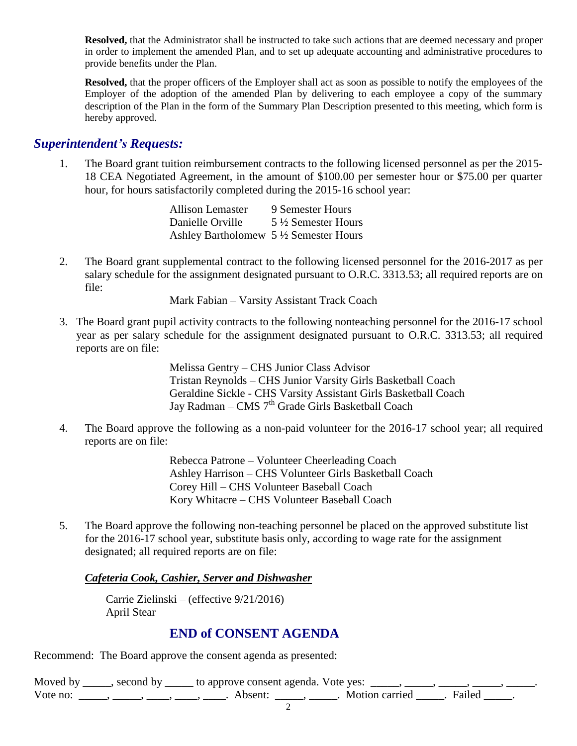**Resolved,** that the Administrator shall be instructed to take such actions that are deemed necessary and proper in order to implement the amended Plan, and to set up adequate accounting and administrative procedures to provide benefits under the Plan.

**Resolved,** that the proper officers of the Employer shall act as soon as possible to notify the employees of the Employer of the adoption of the amended Plan by delivering to each employee a copy of the summary description of the Plan in the form of the Summary Plan Description presented to this meeting, which form is hereby approved.

### *Superintendent's Requests:*

1. The Board grant tuition reimbursement contracts to the following licensed personnel as per the 2015- 18 CEA Negotiated Agreement, in the amount of \$100.00 per semester hour or \$75.00 per quarter hour, for hours satisfactorily completed during the 2015-16 school year:

> Allison Lemaster 9 Semester Hours Danielle Orville 5 ½ Semester Hours Ashley Bartholomew 5 ½ Semester Hours

2. The Board grant supplemental contract to the following licensed personnel for the 2016-2017 as per salary schedule for the assignment designated pursuant to O.R.C. 3313.53; all required reports are on file:

Mark Fabian – Varsity Assistant Track Coach

3. The Board grant pupil activity contracts to the following nonteaching personnel for the 2016-17 school year as per salary schedule for the assignment designated pursuant to O.R.C. 3313.53; all required reports are on file:

> Melissa Gentry – CHS Junior Class Advisor Tristan Reynolds – CHS Junior Varsity Girls Basketball Coach Geraldine Sickle - CHS Varsity Assistant Girls Basketball Coach Jay Radman – CMS 7<sup>th</sup> Grade Girls Basketball Coach

4. The Board approve the following as a non-paid volunteer for the 2016-17 school year; all required reports are on file:

> Rebecca Patrone – Volunteer Cheerleading Coach Ashley Harrison – CHS Volunteer Girls Basketball Coach Corey Hill – CHS Volunteer Baseball Coach Kory Whitacre – CHS Volunteer Baseball Coach

5. The Board approve the following non-teaching personnel be placed on the approved substitute list for the 2016-17 school year, substitute basis only, according to wage rate for the assignment designated; all required reports are on file:

#### *Cafeteria Cook, Cashier, Server and Dishwasher*

Carrie Zielinski – (effective 9/21/2016) April Stear

# **END of CONSENT AGENDA**

Recommend: The Board approve the consent agenda as presented:

Moved by \_\_\_\_, second by \_\_\_\_\_ to approve consent agenda. Vote yes: \_\_\_\_, \_\_\_\_, \_\_\_\_, \_\_\_\_,

Vote no: \_\_\_\_\_, \_\_\_\_\_, \_\_\_\_, \_\_\_\_, Absent: \_\_\_\_\_, \_\_\_\_\_. Motion carried \_\_\_\_\_. Failed \_\_\_\_\_.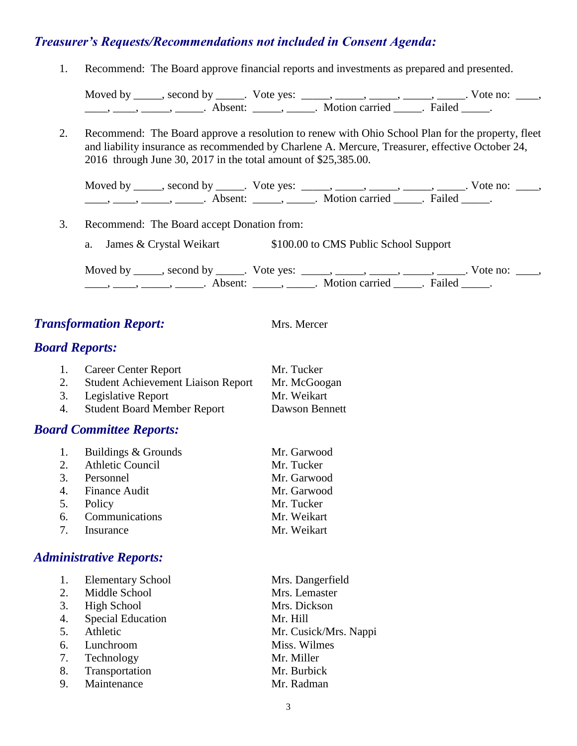### *Treasurer's Requests/Recommendations not included in Consent Agenda:*

1. Recommend: The Board approve financial reports and investments as prepared and presented.

| Moved by | second by           | Vote yes: |                |        | Vote no: |  |
|----------|---------------------|-----------|----------------|--------|----------|--|
|          | Absent <sup>.</sup> |           | Motion carried | Failed |          |  |

2. Recommend: The Board approve a resolution to renew with Ohio School Plan for the property, fleet and liability insurance as recommended by Charlene A. Mercure, Treasurer, effective October 24, 2016 through June 30, 2017 in the total amount of \$25,385.00.

Moved by \_\_\_\_\_, second by \_\_\_\_\_. Vote yes:  $\frac{1}{\sqrt{2}}$ , \_\_\_\_, \_\_\_\_, \_\_\_\_, \_\_\_\_. Vote no: \_\_\_, \_\_\_\_, \_\_\_\_\_, \_\_\_\_\_\_, Absent: \_\_\_\_\_, \_\_\_\_\_. Motion carried \_\_\_\_\_. Failed \_\_\_\_\_.

3. Recommend: The Board accept Donation from:

a. James & Crystal Weikart \$100.00 to CMS Public School Support

Moved by \_\_\_\_\_, second by \_\_\_\_\_. Vote yes: \_\_\_\_\_, \_\_\_\_\_, \_\_\_\_\_, \_\_\_\_\_, \_\_\_\_\_. Vote no: \_\_\_\_, \_\_\_\_, \_\_\_\_\_, \_\_\_\_\_\_\_. Absent: \_\_\_\_\_, \_\_\_\_\_. Motion carried \_\_\_\_\_. Failed \_\_\_\_\_.

# **Transformation Report:** Mrs. Mercer

### *Board Reports:*

|    | 1. Career Center Report                   | Mr. Tucker     |
|----|-------------------------------------------|----------------|
| 2. | <b>Student Achievement Liaison Report</b> | Mr. McGoogan   |
| 3. | Legislative Report                        | Mr. Weikart    |
| 4. | <b>Student Board Member Report</b>        | Dawson Bennett |

### *Board Committee Reports:*

| 1. Buildings & Grounds | Mr. Garwood |
|------------------------|-------------|
| 2. Athletic Council    | Mr. Tucker  |
| 3. Personnel           | Mr. Garwood |
| 4. Finance Audit       | Mr. Garwood |
| 5. Policy              | Mr. Tucker  |
| 6. Communications      | Mr. Weikart |
| 7. Insurance           | Mr. Weikart |

### *Administrative Reports:*

| <b>Elementary School</b> | Mrs. Dangerfield      |
|--------------------------|-----------------------|
| Middle School            | Mrs. Lemaster         |
| <b>High School</b>       | Mrs. Dickson          |
| <b>Special Education</b> | Mr. Hill              |
| Athletic                 | Mr. Cusick/Mrs. Nappi |
|                          | Miss. Wilmes          |
| Technology               | Mr. Miller            |
| Transportation           | Mr. Burbick           |
| Maintenance              | Mr. Radman            |
|                          | Lunchroom             |